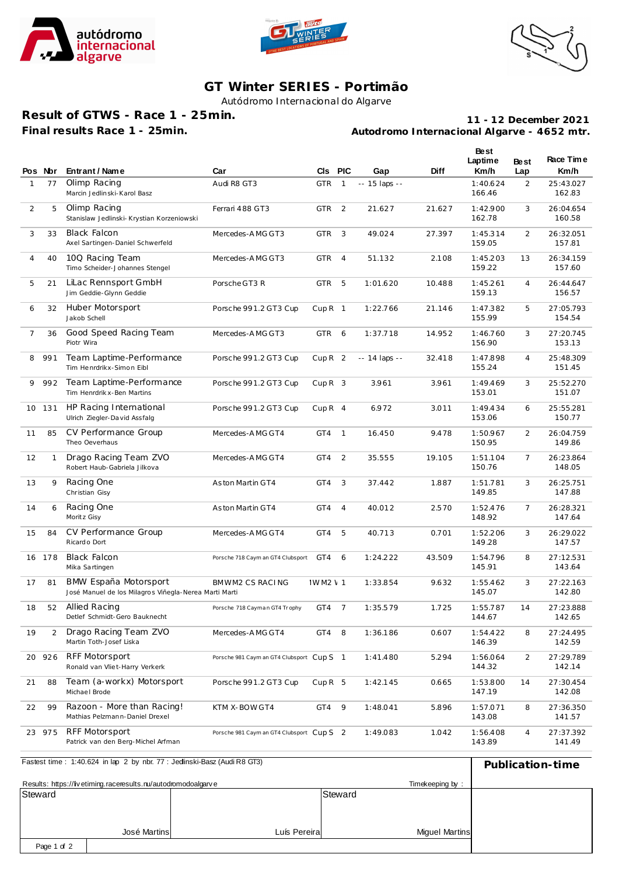





## **GT Winter SERIES - Portimão**

Autódromo Internacional do Algarve

**Result of GTWS - Race 1 - 25min. Final results Race 1 - 25min.**

**Autodromo Internacional Algarve - 4652 mtr. 11 - 12 December 2021**

|              | Pos Nor      | Entrant / Name                                                                 | Car                                       | <b>CIs</b>        | <b>PIC</b>     | Gap             | Diff   | Best<br>Laptime<br>Km/h | <b>Best</b><br>Lap | Race Time<br>Km/h   |
|--------------|--------------|--------------------------------------------------------------------------------|-------------------------------------------|-------------------|----------------|-----------------|--------|-------------------------|--------------------|---------------------|
| $\mathbf{1}$ | 77           | Olimp Racing<br>Marcin Jedlinski-Karol Basz                                    | Audi R8 GT3                               | <b>GTR</b>        | $\mathbf{1}$   | $- 15$ laps $-$ |        | 1:40.624<br>166.46      | 2                  | 25:43.027<br>162.83 |
| 2            | 5            | Olimp Racing<br>Stanislaw Jedlinski- Krystian Korzeniowski                     | Ferrari 488 GT3                           | <b>GTR</b>        | 2              | 21.627          | 21.627 | 1:42.900<br>162.78      | 3                  | 26:04.654<br>160.58 |
| 3            | 33           | <b>Black Falcon</b><br>Axel Sartingen-Daniel Schwerfeld                        | Mercedes-AMG GT3                          | <b>GTR</b>        | 3              | 49.024          | 27.397 | 1:45.314<br>159.05      | 2                  | 26:32.051<br>157.81 |
| 4            | 40           | 10Q Racing Team<br>Timo Scheider-Johannes Stengel                              | Mercedes-AMG GT3                          | <b>GTR</b>        | $\overline{4}$ | 51.132          | 2.108  | 1:45.203<br>159.22      | 13                 | 26:34.159<br>157.60 |
| 5            | 21           | LiLac Rennsport GmbH<br>Jim Geddie-Glynn Geddie                                | Porsche GT3 R                             | <b>GTR</b>        | 5              | 1:01.620        | 10.488 | 1:45.261<br>159.13      | 4                  | 26:44.647<br>156.57 |
| 6            | 32           | Huber Motorsport<br>Jakob Schell                                               | Porsche 991.2 GT3 Cup                     | CupR <sub>1</sub> |                | 1:22.766        | 21.146 | 1:47.382<br>155.99      | 5                  | 27:05.793<br>154.54 |
| 7            | 36           | Good Speed Racing Team<br>Piotr Wira                                           | Mercedes-AMG GT3                          | <b>GTR</b>        | 6              | 1:37.718        | 14.952 | 1:46.760<br>156.90      | 3                  | 27:20.745<br>153.13 |
| 8            | 991          | Team Laptime-Performance<br>Tim Henrdrikx-Simon Eibl                           | Porsche 991.2 GT3 Cup                     | CupR <sub>2</sub> |                | $-14$ laps $-$  | 32.418 | 1:47.898<br>155.24      | 4                  | 25:48.309<br>151.45 |
| 9            | 992          | Team Laptime-Performance<br>Tim Henrdrik x-Ben Martins                         | Porsche 991.2 GT3 Cup                     | CupR <sub>3</sub> |                | 3.961           | 3.961  | 1:49.469<br>153.01      | 3                  | 25:52.270<br>151.07 |
| 10           | 131          | HP Racing International<br>Ulrich Ziegler-David Assfalg                        | Porsche 991.2 GT3 Cup                     | $CupR$ 4          |                | 6.972           | 3.011  | 1:49.434<br>153.06      | 6                  | 25:55.281<br>150.77 |
| 11           | 85           | CV Performance Group<br>Theo Oeverhaus                                         | Mercedes-AMG GT4                          | GT4               | $\mathbf{1}$   | 16.450          | 9.478  | 1:50.967<br>150.95      | 2                  | 26:04.759<br>149.86 |
| 12           | $\mathbf{1}$ | Drago Racing Team ZVO<br>Robert Haub-Gabriela Jilkova                          | Mercedes-AMG GT4                          | GT4               | 2              | 35.555          | 19.105 | 1:51.104<br>150.76      | 7                  | 26:23.864<br>148.05 |
| 13           | 9            | Racing One<br>Christian Gisy                                                   | Aston Martin GT4                          | GT4               | 3              | 37.442          | 1.887  | 1:51.781<br>149.85      | 3                  | 26:25.751<br>147.88 |
| 14           | 6            | Racing One<br>Moritz Gisy                                                      | Aston Martin GT4                          | GT4               | $\overline{4}$ | 40.012          | 2.570  | 1:52.476<br>148.92      | 7                  | 26:28.321<br>147.64 |
| 15           | 84           | CV Performance Group<br>Ricardo Dort                                           | Mercedes-AMG GT4                          | GT4               | 5              | 40.713          | 0.701  | 1:52.206<br>149.28      | 3                  | 26:29.022<br>147.57 |
| 16           | 178          | Black Falcon<br>Mika Sartingen                                                 | Porsche 718 Caym an GT4 Clubsport         | GT4               | 6              | 1:24.222        | 43.509 | 1:54.796<br>145.91      | 8                  | 27:12.531<br>143.64 |
| 17           | 81           | BMW España Motorsport<br>José Manuel de los Milagros Viñegla-Nerea Marti Marti | BMWM2 CS RACING                           | <b>IWM2 \ 1</b>   |                | 1:33.854        | 9.632  | 1:55.462<br>145.07      | 3                  | 27:22.163<br>142.80 |
| 18           | 52           | Allied Racing<br>Detlef Schmidt-Gero Bauknecht                                 | Porsche 718 Cayman GT4 Trophy             | GT4               | $\overline{7}$ | 1:35.579        | 1.725  | 1:55.787<br>144.67      | 14                 | 27:23.888<br>142.65 |
| 19           | 2            | Drago Racing Team ZVO<br>Martin Toth-Josef Liska                               | Mercedes-AMG GT4                          | GT4               | 8              | 1:36.186        | 0.607  | 1:54.422<br>146.39      | 8                  | 27:24.495<br>142.59 |
| 20           | 926          | <b>RFF Motorsport</b><br>Ronald van Vliet-Harry Verkerk                        | Porsche 981 Caym an GT4 Clubsport Cup S 1 |                   |                | 1:41.480        | 5.294  | 1:56.064<br>144.32      | 2                  | 27:29.789<br>142.14 |
| 21           | 88           | Team (a-workx) Motorsport<br>Michael Brode                                     | Porsche 991.2 GT3 Cup                     | $CupR$ 5          |                | 1:42.145        | 0.665  | 1:53.800<br>147.19      | 14                 | 27:30.454<br>142.08 |
| 22           | 99           | Razoon - More than Racing!<br>Mathias Pelzmann-Daniel Drexel                   | KTM X-BOW GT4                             | GT4               | 9              | 1:48.041        | 5.896  | 1:57.071<br>143.08      | 8                  | 27:36.350<br>141.57 |
| 23           | 975          | RFF Motorsport<br>Patrick van den Berg-Michel Arfman                           | Porsche 981 Caym an GT4 Clubsport Cup S 2 |                   |                | 1:49.083        | 1.042  | 1:56.408<br>143.89      | 4                  | 27:37.392<br>141.49 |

| Fastest time: 1:40.624 in lap 2 by nbr. 77 : Jedinski-Basz (Audi R8 GT3) | Publication-time |              |                       |  |
|--------------------------------------------------------------------------|------------------|--------------|-----------------------|--|
| Results: https://livetiming.raceresults.nu/autodromodoalgarve            |                  |              |                       |  |
| Steward                                                                  |                  |              | Steward               |  |
|                                                                          |                  |              |                       |  |
|                                                                          |                  |              |                       |  |
|                                                                          | José Martins     | Luís Pereira | <b>Miquel Martins</b> |  |
| Page 1 of 2                                                              |                  |              |                       |  |